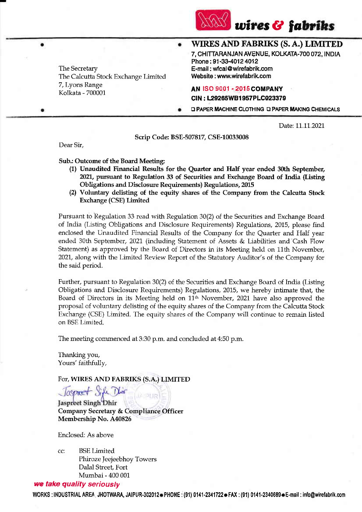

WIRES AND FABRIKS (S. A.) LIMITED

7, CHITTARANJAN AVENUE, KOLKATA-700 072, INDIA Phone: 91-33-4012 4012 E-mail: wfcal@wirefabrik.com Website: www.wirefabrik.com

# **AN ISO 9001 - 2015 COMPANY**

CIN: L29265WB1957PLC023379

**Q PAPER MACHINE CLOTHING Q PAPER MAKING CHEMICALS** 

Date: 11.11.2021

Scrip Code: BSE-507817, CSE-10033008

Dear Sir.

The Secretary

7, Lyons Range

Kolkata - 700001

Sub.: Outcome of the Board Meeting:

The Calcutta Stock Exchange Limited

- (1) Unaudited Financial Results for the Quarter and Half year ended 30th September, 2021, pursuant to Regulation 33 of Securities and Exchange Board of India (Listing Obligations and Disclosure Requirements) Regulations, 2015
- (2) Voluntary delisting of the equity shares of the Company from the Calcutta Stock Exchange (CSE) Limited

Pursuant to Regulation 33 read with Regulation 30(2) of the Securities and Exchange Board of India (Listing Obligations and Disclosure Requirements) Regulations, 2015, please find enclosed the Unaudited Financial Results of the Company for the Quarter and Half year ended 30th September, 2021 (including Statement of Assets & Liabilities and Cash Flow Statement) as approved by the Board of Directors in its Meeting held on 11th November, 2021, along with the Limited Review Report of the Statutory Auditor's of the Company for the said period.

Further, pursuant to Regulation 30(2) of the Securities and Exchange Board of India (Listing Obligations and Disclosure Requirements) Regulations, 2015, we hereby intimate that, the Board of Directors in its Meeting held on 11<sup>th</sup> November, 2021 have also approved the proposal of voluntary delisting of the equity shares of the Company from the Calcutta Stock Exchange (CSE) Limited. The equity shares of the Company will continue to remain listed on BSE Limited.

The meeting commenced at 3:30 p.m. and concluded at 4:50 p.m.

Thanking you, Yours' faithfully,

For, WIRES AND FABRIKS (S.A.) LIMITED

Jaspret S Jaspreet Singh Dhir **Company Secretary & Compliance Officer** Membership No. A40826

 $\mathbf{L}$   $\mathbf{L}$ 

Enclosed: As above

**BSE** Limited cc: Phiroze Jeejeebhoy Towers Dalal Street, Fort Mumbai - 400 001

### we take quality seriously

WORKS:INDUSTRIAL AREA, JHOTWARA, JAIPUR-302012 - PHONE: (91) 0141-2341722 - FAX: (91) 0141-2340689 - E-mail: info@wirefabrik.com

 $\bullet$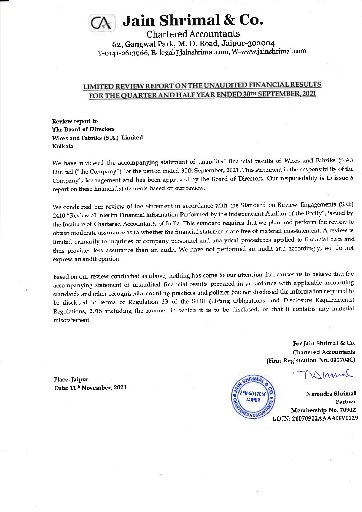# Jain Shrimal & Co.

Chartered Accountants 62, Gangwal Park, M. D. Road, Jaipur-302004 T-0141-2613966, E- legal@jainshrimal.com, W-www.jainshrimal.com

## LIMITED REVIEW REPORT ON THE UNAUDITED FINANCIAL RESULTS FOR THE OUARTER AND HALF YEAR ENDED 3OTH SEPTEMBER, 2OZ1

Review reporl to The Board of Directors Wires and Fabriks (S.A.) Limited Kolkata

We have reviewed the accompanying statement of unaudited financial results of Wires and Fabriks (S.A.) Limited ("the Company") for the period ended 30th September, 2021. This statement is the responsibility of the Company's Management and has been approved by the Board of Directors. Our responsibility is to issue a report on these financial statements based on our review,

We conducted our review of the Statement in accordance with the Standard on Review Engagements (SRE) 2410 "Review of Interim Financial Information Performed by the Independent Auditor of the Entity", issued by the Institute of Chartered Accountants of India. This standard requires that we Plan and perform the review to obtain moderate assurance as to whether the financial statements are free of material misstatement. A review is limited primarily to inquiries of company personnel and analytical procedures applied to financial data and thus provides less assurance than an audit. We have not performed an audit and accordingly, we do not express anaudit opinion.

Based on our review conducted as above, nothing has come to our attention that causes us to believe that the accompanying statement of unaudited financial results prepared in accordance with applicable accounting standards and other recognized accounting practices and policies has not disclosed the information required to be disclosed in terms of Regulation 33 of the sEBI (Listing obligations and Disclosure Requirements) Regulations, 2015 including the manner in which it is to be disclosed, or that it contains any material misstatement.

> For Jain Shrimal & Co. Chartered Accountants (Firm Registration No. 001704C)

Innal



Narendra Shrimal Partner Membership No. 70902 UDIN: 21070902AAAAHV1129

Place: ]aipur Date: 11<sup>th</sup> November, 2021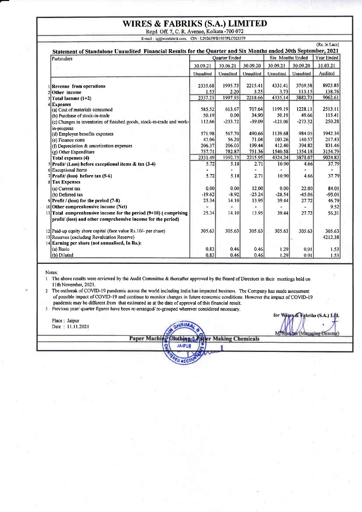# **WIRES & FABRIKS (S.A.) LIMITED**

Regd. Off. 7, C. R. Avenue, Kolkata -700 072<br>E-mail: ig@wirefabrik.com, CIN L29265WB1957PLC023379

| Particulars                                                                                                                         | Statement of Standalone Unaudited Financial Results for the Quarter and Six Months ended 30th September, 2021<br><b>Ouarter Ended</b> |           |           | Six Months Ended |           | Year Ended        |
|-------------------------------------------------------------------------------------------------------------------------------------|---------------------------------------------------------------------------------------------------------------------------------------|-----------|-----------|------------------|-----------|-------------------|
|                                                                                                                                     | 30.09.21                                                                                                                              | 30.06.21  | 30.09.20  | 30.09.21         | 30.09.20  | 31.03.21          |
|                                                                                                                                     | Unaudited                                                                                                                             | Unaudited | Unaudited | Unaudited        | Unaudited | Audited           |
| 1 Revenue from operations                                                                                                           | 2335.68                                                                                                                               | 1995.73   | 2215.41   | 4331.41          | 3769.58   | 8923.85           |
| $2$ Other income                                                                                                                    | 1.53                                                                                                                                  | 2.20      | 3.25      | 3.73             | 113.15    | 138.76            |
| Total Income (1+2)                                                                                                                  | 2337.21                                                                                                                               | 1997.93   | 2218 66   | 4335.14          | 3882.73   | 9062.61           |
| 4 Expenses                                                                                                                          |                                                                                                                                       |           |           |                  |           |                   |
| (a) Cost of materials consumed                                                                                                      | 585.52                                                                                                                                | 613.67    | 707.64    | 1199.19          | 1228.11   | 2513.11           |
| (b) Purchase of stock-in-trade                                                                                                      | 50.19                                                                                                                                 | 0.00      | 34.90     | 50.19            | 49.66     | 115.41            |
| (c) Changes in inventories of finished goods, stock-in-trade and work-<br>in-progress                                               | 112.66                                                                                                                                | 233.72    | $-39.09$  | $-121.06$        | $-273.32$ | 250.28            |
| (d) Employee benefits expenses                                                                                                      | 571.98                                                                                                                                | 567.70    | 490.66    | 1139.68          | 984.05    | 1942.34           |
| (e) Finance costs                                                                                                                   | 47.06                                                                                                                                 | 56.20     | 71.04     | 103.26           | 140.57    | 217.43            |
| (f) Depreciation & amortisation expenses                                                                                            | 206.37                                                                                                                                | 206.03    | 199.44    | 412.40           | 394.82    | 831.46            |
| (g) Other Expenditure                                                                                                               | 757.71                                                                                                                                | 782 87    | 751.36    | 1540.58          | 1354 18   | 3154.79           |
| Total expenses (4)                                                                                                                  | 2331.49                                                                                                                               | 1992.75   | 2215.95   | 4324.24          | 3878.07   | 9024.82           |
| $5$ Profit/ (Loss) before exceptional items & tax (3-4)                                                                             | 5.72                                                                                                                                  | 5.18      | 2.71      | 10.90            | 4.66      | 37.79             |
| 6 Exceptional Items                                                                                                                 |                                                                                                                                       |           |           |                  |           | ۰                 |
| $7$ Profit/ (loss) before tax (5-6)                                                                                                 | 5.72                                                                                                                                  | 5.18      | 2.71      | 10.90            | 4.66      | 37.79             |
| 8 Tax Expenses                                                                                                                      |                                                                                                                                       |           |           |                  |           |                   |
| (a) Current tax                                                                                                                     | 0.00                                                                                                                                  | 0.00      | 12.00     | 0.00             | 22.00     | 84.01             |
| (b) Deferred tax                                                                                                                    | $-19.62$                                                                                                                              | $-8.92$   | $-23.24$  | $-28.54$         | $-45.06$  | $-93.01$          |
| $9$ Profit / (loss) for the period (7-8)                                                                                            | 25.34                                                                                                                                 | 14.10     | 13.95     | 39.44            | 27.72     | 46.79             |
| 10 Other comprenhensive income (Net)                                                                                                | ٠                                                                                                                                     | ۰         | ٠         | ۰                | ×         | 9.52              |
| 11 Total comprenhensive income for the period $(9+10)$ (comprising<br>profit/ (loss) and other comprehensive income for the period) | 25.34                                                                                                                                 | 14.10     | 13.95     | 39.44            | 27.72     | 56.31             |
| 12 Paid-up equity share capital (face value Rs. 10/- per share)<br>13 Reserves (excluding Revaluation Reserve)                      | 305.63                                                                                                                                | 305.63    | 305.63    | 305.63           | 305.63    | 305.63<br>4212.38 |
| 14 Earning per share (not annualised, In Rs.):                                                                                      |                                                                                                                                       |           |           |                  |           |                   |
| (a) Basic                                                                                                                           | 0.83                                                                                                                                  | 0.46      | 0.46      | 1.29             | 0.91      | 1,53              |
| (b) Diluted                                                                                                                         | 0.83                                                                                                                                  | 0.46      | 0.46      | 1,29             | 0.91      | 1.53              |

Notes:

1 The above results were reviewed by the Audit Committee & thereafter approved by the Board of Directors in their meetings held on 11th November, 2021.

2 The outbreak of COVID-19 pandemic across the world including India has impacted business. The Company has made assessment of possible impact of COVID-19 and continue to monitor changes in future economic conditions. However the impact of COVID-19 pandemic may be different from that estimated as at the date of approval of this financial result.

3 Previous year/ quarter figures have been re-arranged/ re-grouped wherever considered necessary.

| Place: Jaipur<br>Date: 11.11.2021 |              |               |                     | for Wines & Fabriks (S.A.) Ltd.<br>M. Kus fan (Managine-) |
|-----------------------------------|--------------|---------------|---------------------|-----------------------------------------------------------|
|                                   | Paper Machin |               | er Making Chemicals |                                                           |
|                                   |              | <b>JAIPUR</b> |                     |                                                           |
|                                   |              |               |                     |                                                           |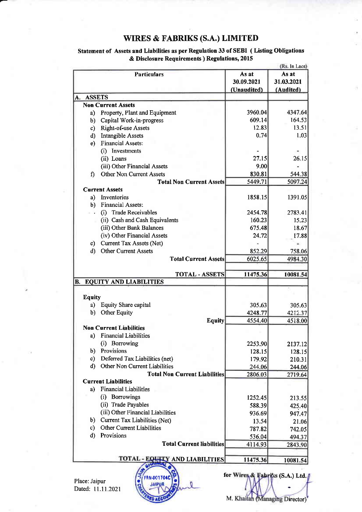## WIRES & FABRIKS (S.A.) LIMITED

| <b>Particulars</b>                            |             | (Rs. In Lacs)                                                                                               |
|-----------------------------------------------|-------------|-------------------------------------------------------------------------------------------------------------|
|                                               | As at       | As at                                                                                                       |
|                                               | 30.09.2021  | 31.03.2021                                                                                                  |
|                                               | (Unaudited) | (Audited)                                                                                                   |
| <b>ASSETS</b><br>A.                           |             |                                                                                                             |
| <b>Non Current Assets</b>                     |             |                                                                                                             |
| Property, Plant and Equipment<br>a)           | 3960.04     | 4347.64                                                                                                     |
| Capital Work-in-progress<br>b)                | 609.14      | 164.53                                                                                                      |
| <b>Right-of-use Assets</b><br>c)              | 12.83       | 13.51                                                                                                       |
| <b>Intangible Assets</b><br>d)                | 0.74        | 1.03                                                                                                        |
| <b>Financial Assets:</b><br>e)                |             |                                                                                                             |
| (i) Investments                               |             |                                                                                                             |
| (ii) Loans                                    | 27.15       | 26.15                                                                                                       |
| (iii) Other Financial Assets                  | 9.00        |                                                                                                             |
| <b>Other Non Current Assets</b><br>f)         | 830.81      | 544.38                                                                                                      |
| <b>Total Non Current Assets</b>               | 5449.71     | 5097.24                                                                                                     |
| <b>Current Assets</b>                         |             |                                                                                                             |
| Inventories<br>a)                             | 1858.15     | 1391.05                                                                                                     |
| <b>Financial Assets:</b><br>b)                |             |                                                                                                             |
| (i) Trade Receivables                         | 2454.78     | 2783.41                                                                                                     |
| (ii) Cash and Cash Equivalents                | 160.23      | 15.23                                                                                                       |
| (iii) Other Bank Balances                     | 675.48      | 18.67                                                                                                       |
| (iv) Other Financial Assets                   | 24.72       | 17.88                                                                                                       |
| Current Tax Assets (Net)<br>c)                |             |                                                                                                             |
| <b>Other Current Assets</b><br>d)             | 852.29      | 758.06                                                                                                      |
| <b>Total Current Assets</b>                   | 6025.65     | 4984.30                                                                                                     |
| <b>TOTAL - ASSETS</b>                         | 11475.36    | 10081.54                                                                                                    |
| <b>EQUITY AND LIABILITIES</b><br>B.           |             |                                                                                                             |
|                                               |             |                                                                                                             |
| <b>Equity</b>                                 |             |                                                                                                             |
| <b>Equity Share capital</b><br>a)             | 305.63      | 305.63                                                                                                      |
| Other Equity<br>b)                            | 4248.77     | 4212.37                                                                                                     |
| <b>Equity</b>                                 | 4554.40     | 4518.00                                                                                                     |
| <b>Non Current Liabilities</b>                |             |                                                                                                             |
| a) Financial Liabilities                      |             |                                                                                                             |
|                                               |             | 2137.12                                                                                                     |
| (i) Borrowing                                 | 2253.90     |                                                                                                             |
| Provisions<br>b)                              | 128.15      |                                                                                                             |
| Deferred Tax Liabilities (net)<br>c)          | 179.92      |                                                                                                             |
| Other Non Current Liabilities<br>$\mathbf{d}$ | 244.06      |                                                                                                             |
| <b>Total Non Current Liabilities</b>          | 2806.03     |                                                                                                             |
| <b>Current Liabilities</b>                    |             |                                                                                                             |
| <b>Financial Liabilities</b><br>a)            |             |                                                                                                             |
| Borrowings<br>(i)                             | 1252.45     |                                                                                                             |
| (ii) Trade Payables                           | 588.39      |                                                                                                             |
| (iii) Other Financial Liabilities             | 936.69      |                                                                                                             |
| b) Current Tax Liabilities (Net)              | 13.54       |                                                                                                             |
| c) Other Current Liabilities                  | 787.82      |                                                                                                             |
| Provisions<br>d)                              | 536.04      |                                                                                                             |
| <b>Total Current liabilities</b>              | 4114.93     | 128.15<br>210.31<br>244.06<br>2719.64<br>213.55<br>425.40<br>947.47<br>21.06<br>742.05<br>494.37<br>2843.90 |

a

**RN-001704** 

### Statement of Assets and Liabilities as per Regulation 33 of SEBI ( Listing Obligations & Disclosure Requirements ) Regulations, 2015

Place: Jaipur Dated: I1.11.2021 M. Khaitan (Managing Director)